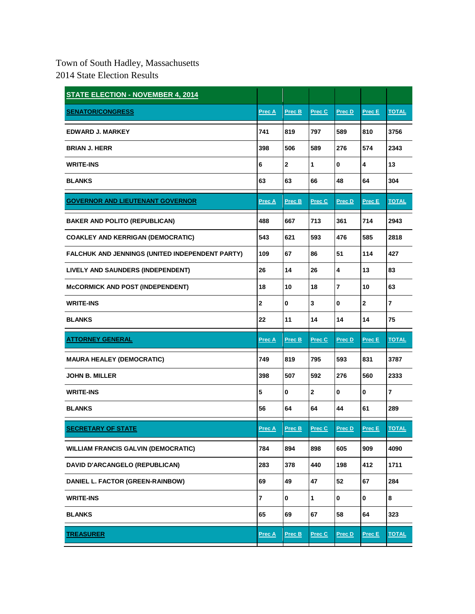## Town of South Hadley, Massachusetts 2014 State Election Results

| <b>STATE ELECTION - NOVEMBER 4, 2014</b>        |               |                |              |             |                         |              |
|-------------------------------------------------|---------------|----------------|--------------|-------------|-------------------------|--------------|
| <b>SENATOR/CONGRESS</b>                         | Prec A        | Prec B         | Prec C       | Prec D      | Prec E                  | <b>TOTAL</b> |
| <b>EDWARD J. MARKEY</b>                         | 741           | 819            | 797          | 589         | 810                     | 3756         |
| <b>BRIAN J. HERR</b>                            | 398           | 506            | 589          | 276         | 574                     | 2343         |
| <b>WRITE-INS</b>                                | 6             | $\overline{2}$ | 1            | 0           | $\overline{\mathbf{4}}$ | 13           |
| <b>BLANKS</b>                                   | 63            | 63             | 66           | 48          | 64                      | 304          |
| <b>GOVERNOR AND LIEUTENANT GOVERNOR</b>         | Prec A        | Prec B         | Prec C       | Prec D      | Prec E                  | <b>TOTAL</b> |
| <b>BAKER AND POLITO (REPUBLICAN)</b>            | 488           | 667            | 713          | 361         | 714                     | 2943         |
| <b>COAKLEY AND KERRIGAN (DEMOCRATIC)</b>        | 543           | 621            | 593          | 476         | 585                     | 2818         |
| FALCHUK AND JENNINGS (UNITED INDEPENDENT PARTY) | 109           | 67             | 86           | 51          | 114                     | 427          |
| LIVELY AND SAUNDERS (INDEPENDENT)               | 26            | 14             | 26           | 4           | 13                      | 83           |
| <b>MCCORMICK AND POST (INDEPENDENT)</b>         | 18            | 10             | 18           | 7           | 10                      | 63           |
| <b>WRITE-INS</b>                                | 2             | $\mathbf 0$    | 3            | 0           | $\mathbf 2$             | 7            |
|                                                 | 22            |                |              |             |                         |              |
| <b>BLANKS</b>                                   |               | 11             | 14           | 14          | 14                      | 75           |
| <b>ATTORNEY GENERAL</b>                         | <b>Prec A</b> | Prec B         | Prec C       | Prec D      | Prec E                  | <b>TOTAL</b> |
| <b>MAURA HEALEY (DEMOCRATIC)</b>                | 749           | 819            | 795          | 593         | 831                     | 3787         |
| JOHN B. MILLER                                  | 398           | 507            | 592          | 276         | 560                     | 2333         |
| <b>WRITE-INS</b>                                | 5             | $\bf{0}$       | $\mathbf 2$  | 0           | 0                       | 7            |
| <b>BLANKS</b>                                   | 56            | 64             | 64           | 44          | 61                      | 289          |
| <b>SECRETARY OF STATE</b>                       | <u>Prec A</u> | Prec B         | Prec C       | Prec D      | Prec E                  | <b>TOTAL</b> |
| <b>WILLIAM FRANCIS GALVIN (DEMOCRATIC)</b>      | 784           | 894            | 898          | 605         | 909                     | 4090         |
| <b>DAVID D'ARCANGELO (REPUBLICAN)</b>           | 283           | 378            | 440          | 198         | 412                     | 1711         |
| DANIEL L. FACTOR (GREEN-RAINBOW)                | 69            | 49             | 47           | 52          | 67                      | 284          |
| <b>WRITE-INS</b>                                | 7             | $\mathbf 0$    | $\mathbf{1}$ | $\mathbf 0$ | 0                       | 8            |
| <b>BLANKS</b>                                   | 65            | 69             | 67           | 58          | 64                      | 323          |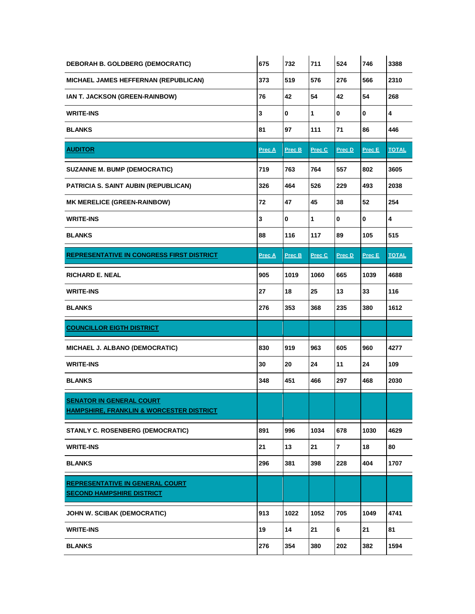| <b>DEBORAH B. GOLDBERG (DEMOCRATIC)</b>                                                | 675           | 732           | 711    | 524            | 746    | 3388                    |
|----------------------------------------------------------------------------------------|---------------|---------------|--------|----------------|--------|-------------------------|
| MICHAEL JAMES HEFFERNAN (REPUBLICAN)                                                   | 373           | 519           | 576    | 276            | 566    | 2310                    |
| IAN T. JACKSON (GREEN-RAINBOW)                                                         | 76            | 42            | 54     | 42             | 54     | 268                     |
| <b>WRITE-INS</b>                                                                       | 3             | $\mathbf 0$   | 1      | $\mathbf 0$    | 0      | $\overline{\mathbf{4}}$ |
| <b>BLANKS</b>                                                                          | 81            | 97            | 111    | 71             | 86     | 446                     |
| <b>AUDITOR</b>                                                                         | <b>Prec A</b> | <u>Prec B</u> | Prec C | Prec D         | Prec E | <b>TOTAL</b>            |
| <b>SUZANNE M. BUMP (DEMOCRATIC)</b>                                                    | 719           | 763           | 764    | 557            | 802    | 3605                    |
| PATRICIA S. SAINT AUBIN (REPUBLICAN)                                                   | 326           | 464           | 526    | 229            | 493    | 2038                    |
| <b>MK MERELICE (GREEN-RAINBOW)</b>                                                     | 72            | 47            | 45     | 38             | 52     | 254                     |
| <b>WRITE-INS</b>                                                                       | 3             | 0             | 1      | $\bf{0}$       | 0      | 4                       |
| <b>BLANKS</b>                                                                          | 88            | 116           | 117    | 89             | 105    | 515                     |
| <b>REPRESENTATIVE IN CONGRESS FIRST DISTRICT</b>                                       | Prec A        | Prec B        | Prec C | Prec D         | Prec E | <b>TOTAL</b>            |
| <b>RICHARD E. NEAL</b>                                                                 | 905           | 1019          | 1060   | 665            | 1039   | 4688                    |
| <b>WRITE-INS</b>                                                                       | 27            | 18            | 25     | 13             | 33     | 116                     |
| <b>BLANKS</b>                                                                          | 276           | 353           | 368    | 235            | 380    | 1612                    |
| <b>COUNCILLOR EIGTH DISTRICT</b>                                                       |               |               |        |                |        |                         |
| MICHAEL J. ALBANO (DEMOCRATIC)                                                         | 830           | 919           | 963    | 605            | 960    | 4277                    |
| <b>WRITE-INS</b>                                                                       | 30            | 20            | 24     | 11             | 24     | 109                     |
| <b>BLANKS</b>                                                                          | 348           | 451           | 466    | 297            | 468    | 2030                    |
| <b>SENATOR IN GENERAL COURT</b><br><b>HAMPSHIRE, FRANKLIN &amp; WORCESTER DISTRICT</b> |               |               |        |                |        |                         |
| STANLY C. ROSENBERG (DEMOCRATIC)                                                       | 891           | 996           | 1034   | 678            | 1030   | 4629                    |
| <b>WRITE-INS</b>                                                                       | 21            | 13            | 21     | $\overline{7}$ | 18     | 80                      |
| <b>BLANKS</b>                                                                          | 296           | 381           | 398    | 228            | 404    | 1707                    |
| <b>REPRESENTATIVE IN GENERAL COURT</b><br><b>SECOND HAMPSHIRE DISTRICT</b>             |               |               |        |                |        |                         |
| JOHN W. SCIBAK (DEMOCRATIC)                                                            | 913           | 1022          | 1052   | 705            | 1049   | 4741                    |
| <b>WRITE-INS</b>                                                                       | 19            | 14            | 21     | 6              | 21     | 81                      |
|                                                                                        |               |               |        |                |        |                         |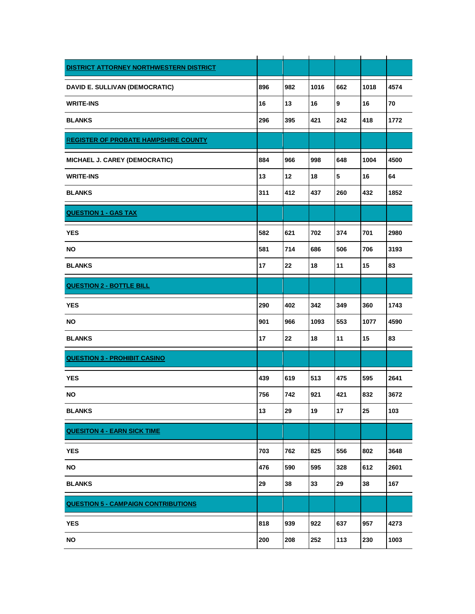| DISTRICT ATTORNEY NORTHWESTERN DISTRICT     |     |     |      |            |      |      |
|---------------------------------------------|-----|-----|------|------------|------|------|
| DAVID E. SULLIVAN (DEMOCRATIC)              | 896 | 982 | 1016 | 662        | 1018 | 4574 |
| <b>WRITE-INS</b>                            | 16  | 13  | 16   | 9          | 16   | 70   |
| <b>BLANKS</b>                               | 296 | 395 | 421  | 242        | 418  | 1772 |
| <b>REGISTER OF PROBATE HAMPSHIRE COUNTY</b> |     |     |      |            |      |      |
| MICHAEL J. CAREY (DEMOCRATIC)               | 884 | 966 | 998  | 648        | 1004 | 4500 |
| <b>WRITE-INS</b>                            | 13  | 12  | 18   | $\sqrt{5}$ | 16   | 64   |
| <b>BLANKS</b>                               | 311 | 412 | 437  | 260        | 432  | 1852 |
| <b>QUESTION 1 - GAS TAX</b>                 |     |     |      |            |      |      |
| <b>YES</b>                                  | 582 | 621 | 702  | 374        | 701  | 2980 |
| ΝO                                          | 581 | 714 | 686  | 506        | 706  | 3193 |
| <b>BLANKS</b>                               | 17  | 22  | 18   | 11         | 15   | 83   |
| <b>QUESTION 2 - BOTTLE BILL</b>             |     |     |      |            |      |      |
| <b>YES</b>                                  | 290 | 402 | 342  | 349        | 360  | 1743 |
| ΝO                                          | 901 | 966 | 1093 | 553        | 1077 | 4590 |
| <b>BLANKS</b>                               | 17  | 22  | 18   | 11         | 15   | 83   |
| <b>QUESTION 3 - PROHIBIT CASINO</b>         |     |     |      |            |      |      |
| <b>YES</b>                                  | 439 | 619 | 513  | 475        | 595  | 2641 |
| ΝO                                          | 756 | 742 | 921  | 421        | 832  | 3672 |
| <b>BLANKS</b>                               | 13  | 29  | 19   | 17         | 25   | 103  |
| <b>QUESITON 4 - EARN SICK TIME</b>          |     |     |      |            |      |      |
| <b>YES</b>                                  | 703 | 762 | 825  | 556        | 802  | 3648 |
| NO                                          | 476 | 590 | 595  | 328        | 612  | 2601 |
| <b>BLANKS</b>                               | 29  | 38  | 33   | 29         | 38   | 167  |
| <b>QUESTION 5 - CAMPAIGN CONTRIBUTIONS</b>  |     |     |      |            |      |      |
| <b>YES</b>                                  | 818 | 939 | 922  | 637        | 957  | 4273 |
| <b>NO</b>                                   | 200 | 208 | 252  | 113        | 230  | 1003 |